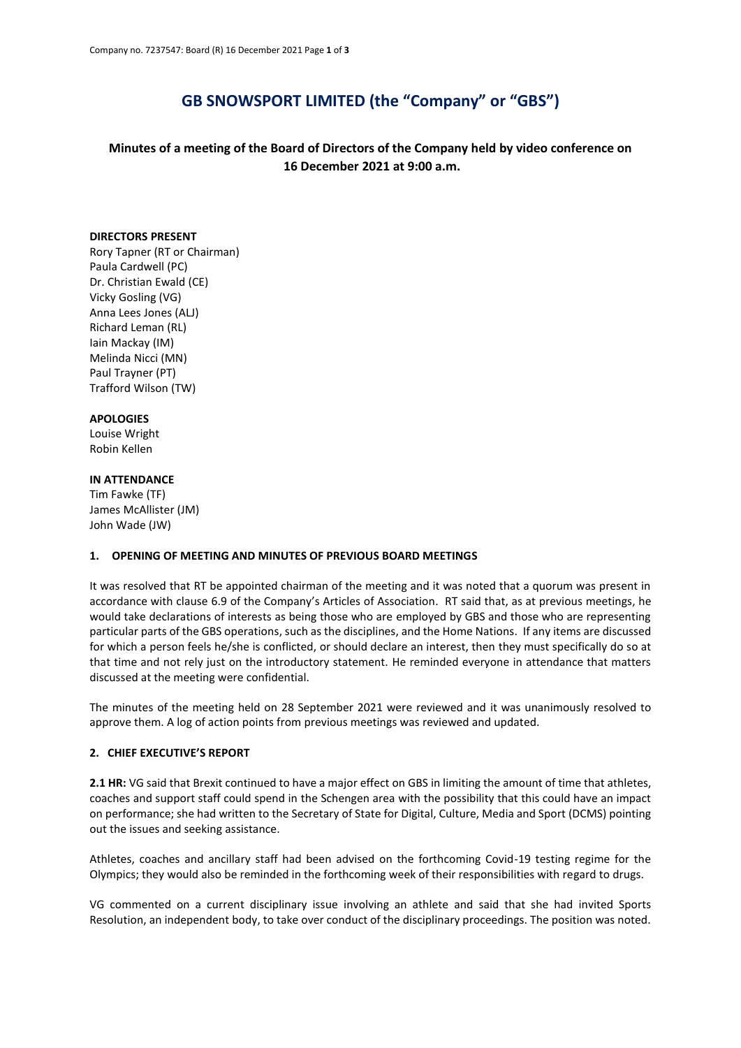# **GB SNOWSPORT LIMITED (the "Company" or "GBS")**

**Minutes of a meeting of the Board of Directors of the Company held by video conference on 16 December 2021 at 9:00 a.m.**

#### **DIRECTORS PRESENT**

Rory Tapner (RT or Chairman) Paula Cardwell (PC) Dr. Christian Ewald (CE) Vicky Gosling (VG) Anna Lees Jones (ALJ) Richard Leman (RL) Iain Mackay (IM) Melinda Nicci (MN) Paul Trayner (PT) Trafford Wilson (TW)

## **APOLOGIES**

Louise Wright Robin Kellen

#### **IN ATTENDANCE**

Tim Fawke (TF) James McAllister (JM) John Wade (JW)

#### **1. OPENING OF MEETING AND MINUTES OF PREVIOUS BOARD MEETINGS**

It was resolved that RT be appointed chairman of the meeting and it was noted that a quorum was present in accordance with clause 6.9 of the Company's Articles of Association. RT said that, as at previous meetings, he would take declarations of interests as being those who are employed by GBS and those who are representing particular parts of the GBS operations, such as the disciplines, and the Home Nations. If any items are discussed for which a person feels he/she is conflicted, or should declare an interest, then they must specifically do so at that time and not rely just on the introductory statement. He reminded everyone in attendance that matters discussed at the meeting were confidential.

The minutes of the meeting held on 28 September 2021 were reviewed and it was unanimously resolved to approve them. A log of action points from previous meetings was reviewed and updated.

## **2. CHIEF EXECUTIVE'S REPORT**

**2.1 HR:** VG said that Brexit continued to have a major effect on GBS in limiting the amount of time that athletes, coaches and support staff could spend in the Schengen area with the possibility that this could have an impact on performance; she had written to the Secretary of State for Digital, Culture, Media and Sport (DCMS) pointing out the issues and seeking assistance.

Athletes, coaches and ancillary staff had been advised on the forthcoming Covid-19 testing regime for the Olympics; they would also be reminded in the forthcoming week of their responsibilities with regard to drugs.

VG commented on a current disciplinary issue involving an athlete and said that she had invited Sports Resolution, an independent body, to take over conduct of the disciplinary proceedings. The position was noted.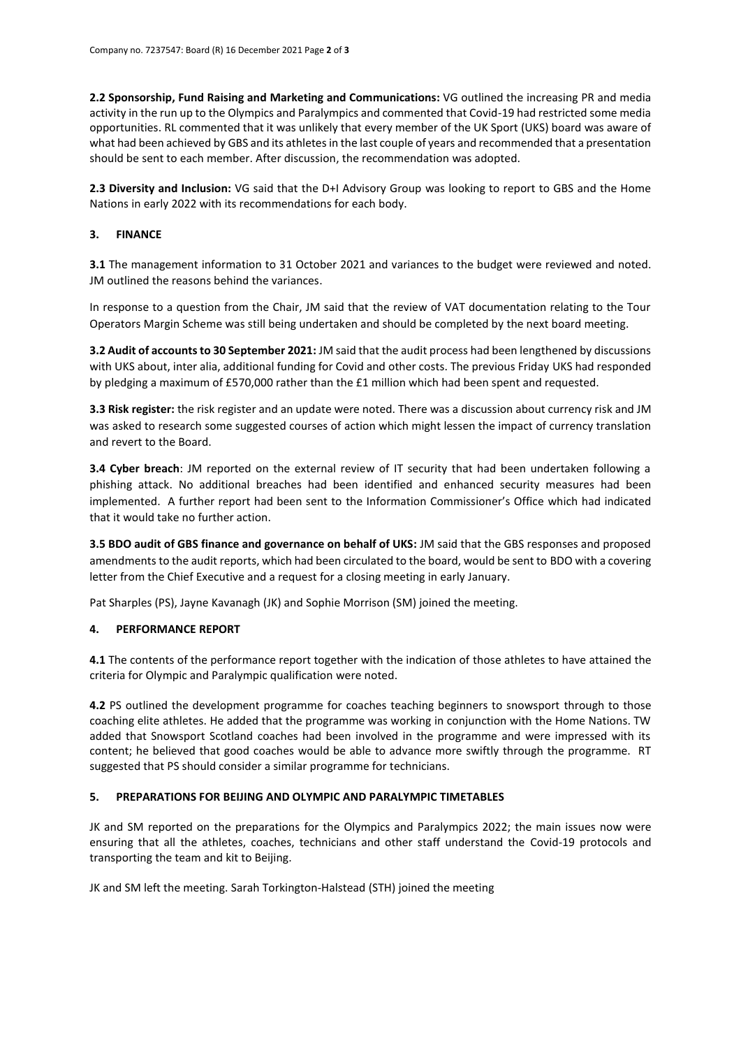**2.2 Sponsorship, Fund Raising and Marketing and Communications:** VG outlined the increasing PR and media activity in the run up to the Olympics and Paralympics and commented that Covid-19 had restricted some media opportunities. RL commented that it was unlikely that every member of the UK Sport (UKS) board was aware of what had been achieved by GBS and its athletes in the last couple of years and recommended that a presentation should be sent to each member. After discussion, the recommendation was adopted.

**2.3 Diversity and Inclusion:** VG said that the D+I Advisory Group was looking to report to GBS and the Home Nations in early 2022 with its recommendations for each body.

## **3. FINANCE**

**3.1** The management information to 31 October 2021 and variances to the budget were reviewed and noted. JM outlined the reasons behind the variances.

In response to a question from the Chair, JM said that the review of VAT documentation relating to the Tour Operators Margin Scheme was still being undertaken and should be completed by the next board meeting.

**3.2 Audit of accounts to 30 September 2021:** JM said that the audit process had been lengthened by discussions with UKS about, inter alia, additional funding for Covid and other costs. The previous Friday UKS had responded by pledging a maximum of £570,000 rather than the £1 million which had been spent and requested.

**3.3 Risk register:** the risk register and an update were noted. There was a discussion about currency risk and JM was asked to research some suggested courses of action which might lessen the impact of currency translation and revert to the Board.

**3.4 Cyber breach**: JM reported on the external review of IT security that had been undertaken following a phishing attack. No additional breaches had been identified and enhanced security measures had been implemented. A further report had been sent to the Information Commissioner's Office which had indicated that it would take no further action.

**3.5 BDO audit of GBS finance and governance on behalf of UKS:** JM said that the GBS responses and proposed amendments to the audit reports, which had been circulated to the board, would be sent to BDO with a covering letter from the Chief Executive and a request for a closing meeting in early January.

Pat Sharples (PS), Jayne Kavanagh (JK) and Sophie Morrison (SM) joined the meeting.

## **4. PERFORMANCE REPORT**

**4.1** The contents of the performance report together with the indication of those athletes to have attained the criteria for Olympic and Paralympic qualification were noted.

**4.2** PS outlined the development programme for coaches teaching beginners to snowsport through to those coaching elite athletes. He added that the programme was working in conjunction with the Home Nations. TW added that Snowsport Scotland coaches had been involved in the programme and were impressed with its content; he believed that good coaches would be able to advance more swiftly through the programme. RT suggested that PS should consider a similar programme for technicians.

## **5. PREPARATIONS FOR BEIJING AND OLYMPIC AND PARALYMPIC TIMETABLES**

JK and SM reported on the preparations for the Olympics and Paralympics 2022; the main issues now were ensuring that all the athletes, coaches, technicians and other staff understand the Covid-19 protocols and transporting the team and kit to Beijing.

JK and SM left the meeting. Sarah Torkington-Halstead (STH) joined the meeting